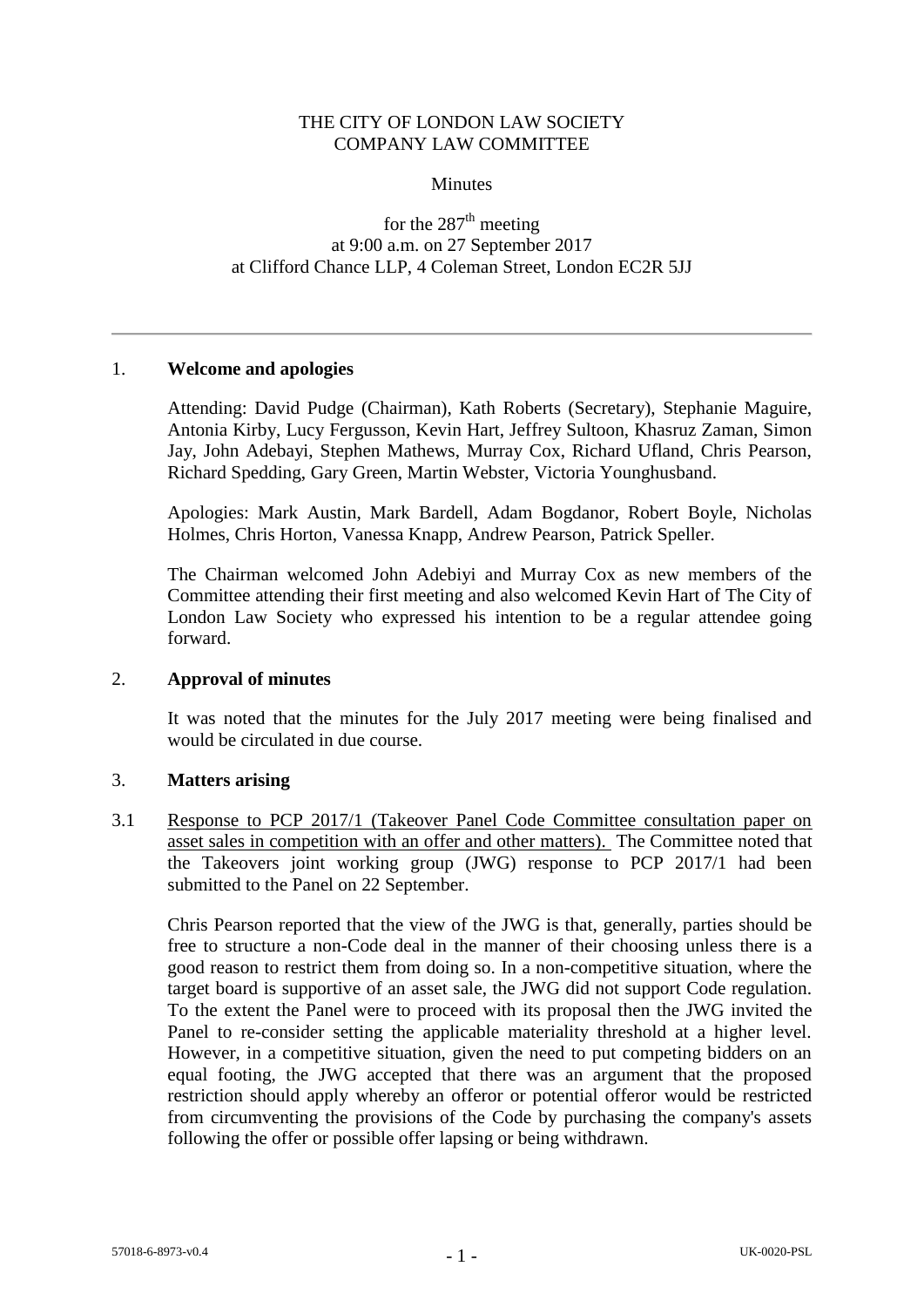## THE CITY OF LONDON LAW SOCIETY COMPANY LAW COMMITTEE

#### **Minutes**

# for the  $287<sup>th</sup>$  meeting at 9:00 a.m. on 27 September 2017 at Clifford Chance LLP, 4 Coleman Street, London EC2R 5JJ

#### 1. **Welcome and apologies**

Attending: David Pudge (Chairman), Kath Roberts (Secretary), Stephanie Maguire, Antonia Kirby, Lucy Fergusson, Kevin Hart, Jeffrey Sultoon, Khasruz Zaman, Simon Jay, John Adebayi, Stephen Mathews, Murray Cox, Richard Ufland, Chris Pearson, Richard Spedding, Gary Green, Martin Webster, Victoria Younghusband.

Apologies: Mark Austin, Mark Bardell, Adam Bogdanor, Robert Boyle, Nicholas Holmes, Chris Horton, Vanessa Knapp, Andrew Pearson, Patrick Speller.

The Chairman welcomed John Adebiyi and Murray Cox as new members of the Committee attending their first meeting and also welcomed Kevin Hart of The City of London Law Society who expressed his intention to be a regular attendee going forward.

## 2. **Approval of minutes**

It was noted that the minutes for the July 2017 meeting were being finalised and would be circulated in due course.

#### 3. **Matters arising**

3.1 Response to PCP 2017/1 (Takeover Panel Code Committee consultation paper on asset sales in competition with an offer and other matters). The Committee noted that the Takeovers joint working group (JWG) response to PCP 2017/1 had been submitted to the Panel on 22 September.

Chris Pearson reported that the view of the JWG is that, generally, parties should be free to structure a non-Code deal in the manner of their choosing unless there is a good reason to restrict them from doing so. In a non-competitive situation, where the target board is supportive of an asset sale, the JWG did not support Code regulation. To the extent the Panel were to proceed with its proposal then the JWG invited the Panel to re-consider setting the applicable materiality threshold at a higher level. However, in a competitive situation, given the need to put competing bidders on an equal footing, the JWG accepted that there was an argument that the proposed restriction should apply whereby an offeror or potential offeror would be restricted from circumventing the provisions of the Code by purchasing the company's assets following the offer or possible offer lapsing or being withdrawn.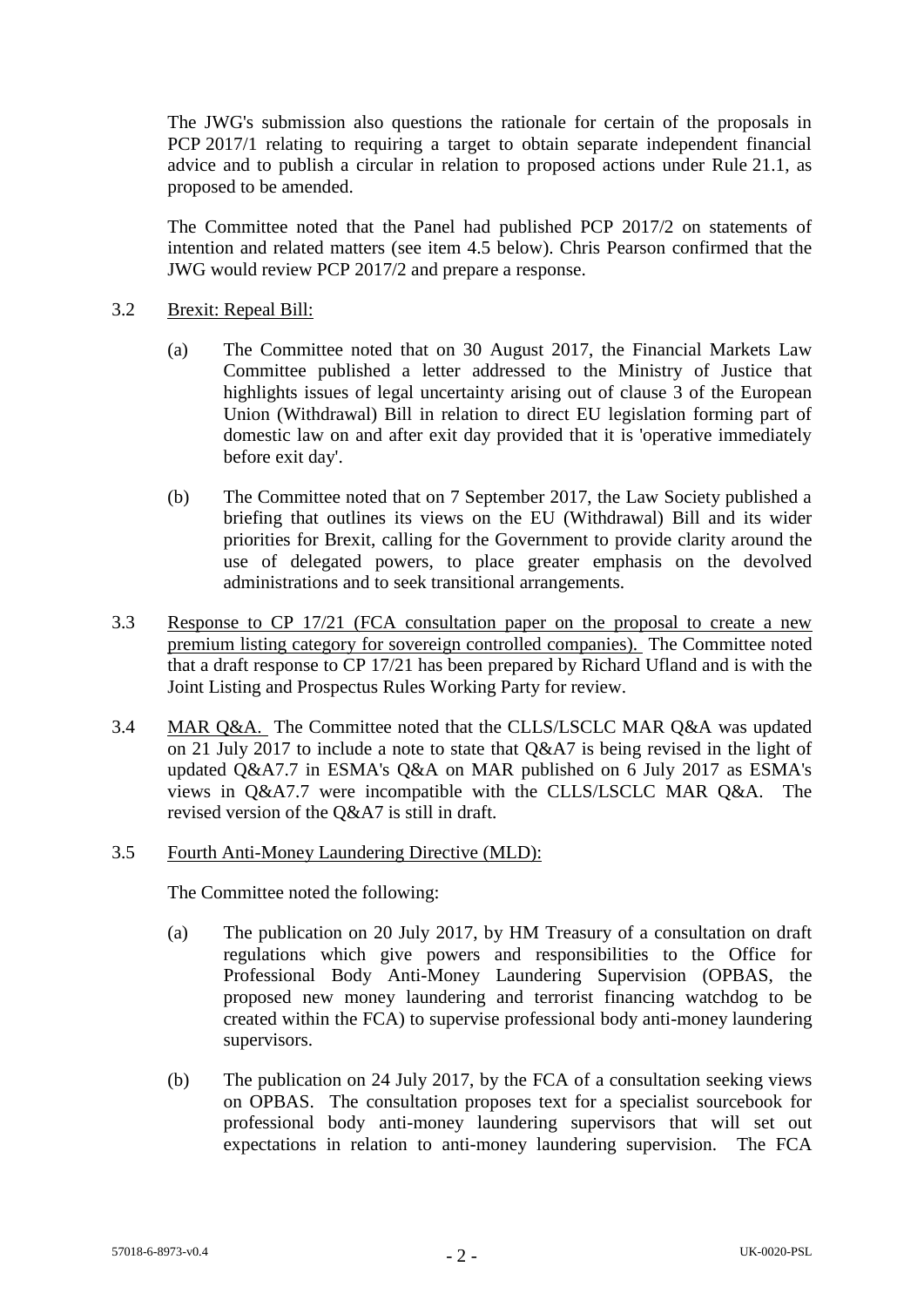The JWG's submission also questions the rationale for certain of the proposals in PCP 2017/1 relating to requiring a target to obtain separate independent financial advice and to publish a circular in relation to proposed actions under Rule 21.1, as proposed to be amended.

The Committee noted that the Panel had published PCP 2017/2 on statements of intention and related matters (see item 4.5 below). Chris Pearson confirmed that the JWG would review PCP 2017/2 and prepare a response.

## 3.2 Brexit: Repeal Bill:

- (a) The Committee noted that on 30 August 2017, the Financial Markets Law Committee published a letter addressed to the Ministry of Justice that highlights issues of legal uncertainty arising out of clause 3 of the European Union (Withdrawal) Bill in relation to direct EU legislation forming part of domestic law on and after exit day provided that it is 'operative immediately before exit day'.
- (b) The Committee noted that on 7 September 2017, the Law Society published a briefing that outlines its views on the EU (Withdrawal) Bill and its wider priorities for Brexit, calling for the Government to provide clarity around the use of delegated powers, to place greater emphasis on the devolved administrations and to seek transitional arrangements.
- 3.3 Response to CP 17/21 (FCA consultation paper on the proposal to create a new premium listing category for sovereign controlled companies). The Committee noted that a draft response to CP 17/21 has been prepared by Richard Ufland and is with the Joint Listing and Prospectus Rules Working Party for review.
- 3.4 MAR Q&A. The Committee noted that the CLLS/LSCLC MAR Q&A was updated on 21 July 2017 to include a note to state that Q&A7 is being revised in the light of updated Q&A7.7 in ESMA's Q&A on MAR published on 6 July 2017 as ESMA's views in Q&A7.7 were incompatible with the CLLS/LSCLC MAR Q&A. The revised version of the Q&A7 is still in draft.

## 3.5 Fourth Anti-Money Laundering Directive (MLD):

The Committee noted the following:

- (a) The publication on 20 July 2017, by HM Treasury of a consultation on draft regulations which give powers and responsibilities to the Office for Professional Body Anti-Money Laundering Supervision (OPBAS, the proposed new money laundering and terrorist financing watchdog to be created within the FCA) to supervise professional body anti-money laundering supervisors.
- (b) The publication on 24 July 2017, by the FCA of a consultation seeking views on OPBAS. The consultation proposes text for a specialist sourcebook for professional body anti-money laundering supervisors that will set out expectations in relation to anti-money laundering supervision. The FCA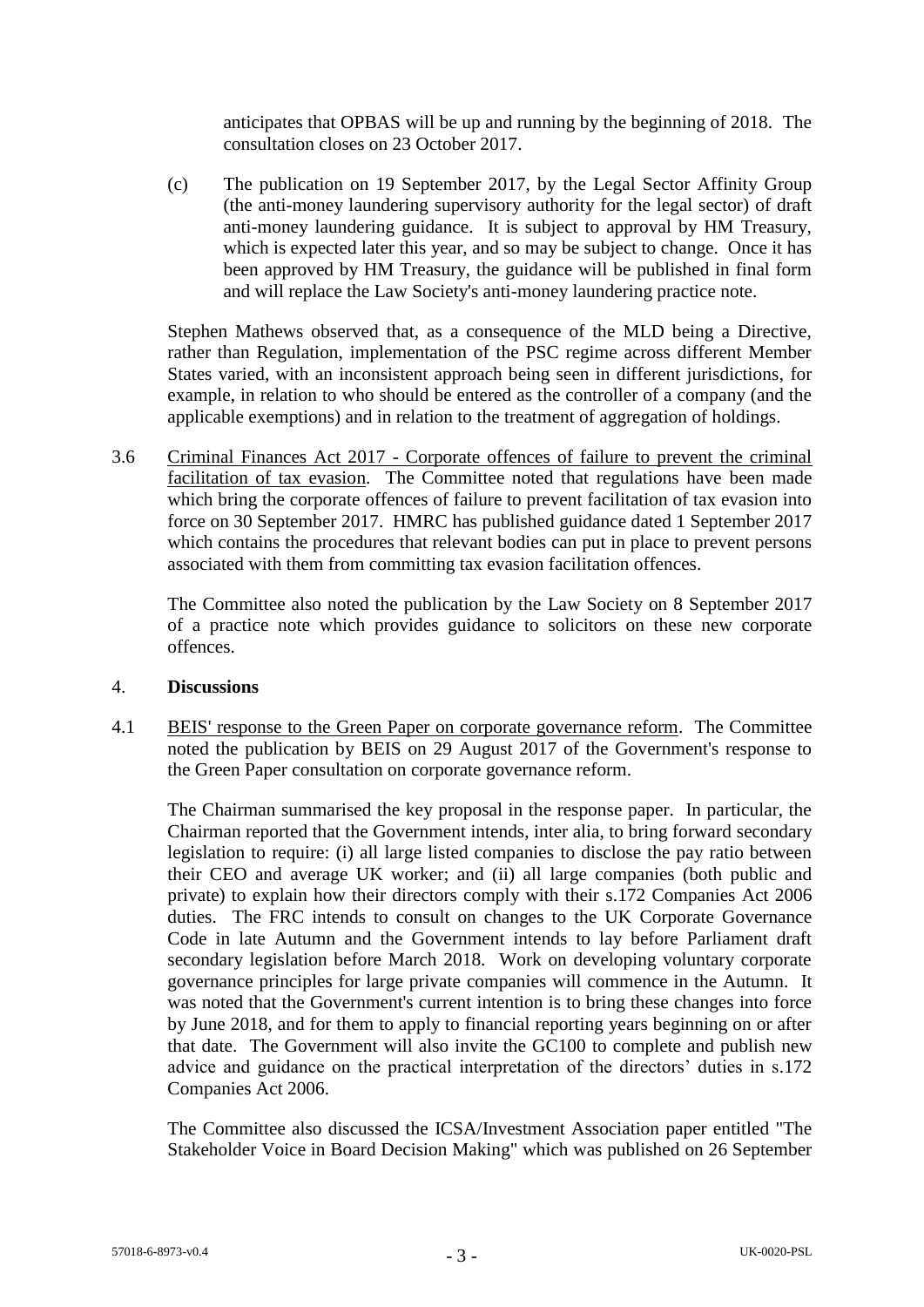anticipates that OPBAS will be up and running by the beginning of 2018. The consultation closes on 23 October 2017.

(c) The publication on 19 September 2017, by the Legal Sector Affinity Group (the anti-money laundering supervisory authority for the legal sector) of draft anti-money laundering guidance. It is subject to approval by HM Treasury, which is expected later this year, and so may be subject to change. Once it has been approved by HM Treasury, the guidance will be published in final form and will replace the Law Society's anti-money laundering practice note.

Stephen Mathews observed that, as a consequence of the MLD being a Directive, rather than Regulation, implementation of the PSC regime across different Member States varied, with an inconsistent approach being seen in different jurisdictions, for example, in relation to who should be entered as the controller of a company (and the applicable exemptions) and in relation to the treatment of aggregation of holdings.

3.6 Criminal Finances Act 2017 - Corporate offences of failure to prevent the criminal facilitation of tax evasion. The Committee noted that regulations have been made which bring the corporate offences of failure to prevent facilitation of tax evasion into force on 30 September 2017. HMRC has published guidance dated 1 September 2017 which contains the procedures that relevant bodies can put in place to prevent persons associated with them from committing tax evasion facilitation offences.

The Committee also noted the publication by the Law Society on 8 September 2017 of a practice note which provides guidance to solicitors on these new corporate offences.

## 4. **Discussions**

4.1 BEIS' response to the Green Paper on corporate governance reform. The Committee noted the publication by BEIS on 29 August 2017 of the Government's response to the Green Paper consultation on corporate governance reform.

The Chairman summarised the key proposal in the response paper. In particular, the Chairman reported that the Government intends, inter alia, to bring forward secondary legislation to require: (i) all large listed companies to disclose the pay ratio between their CEO and average UK worker; and (ii) all large companies (both public and private) to explain how their directors comply with their s.172 Companies Act 2006 duties. The FRC intends to consult on changes to the UK Corporate Governance Code in late Autumn and the Government intends to lay before Parliament draft secondary legislation before March 2018. Work on developing voluntary corporate governance principles for large private companies will commence in the Autumn. It was noted that the Government's current intention is to bring these changes into force by June 2018, and for them to apply to financial reporting years beginning on or after that date. The Government will also invite the GC100 to complete and publish new advice and guidance on the practical interpretation of the directors' duties in s.172 Companies Act 2006.

The Committee also discussed the ICSA/Investment Association paper entitled "The Stakeholder Voice in Board Decision Making" which was published on 26 September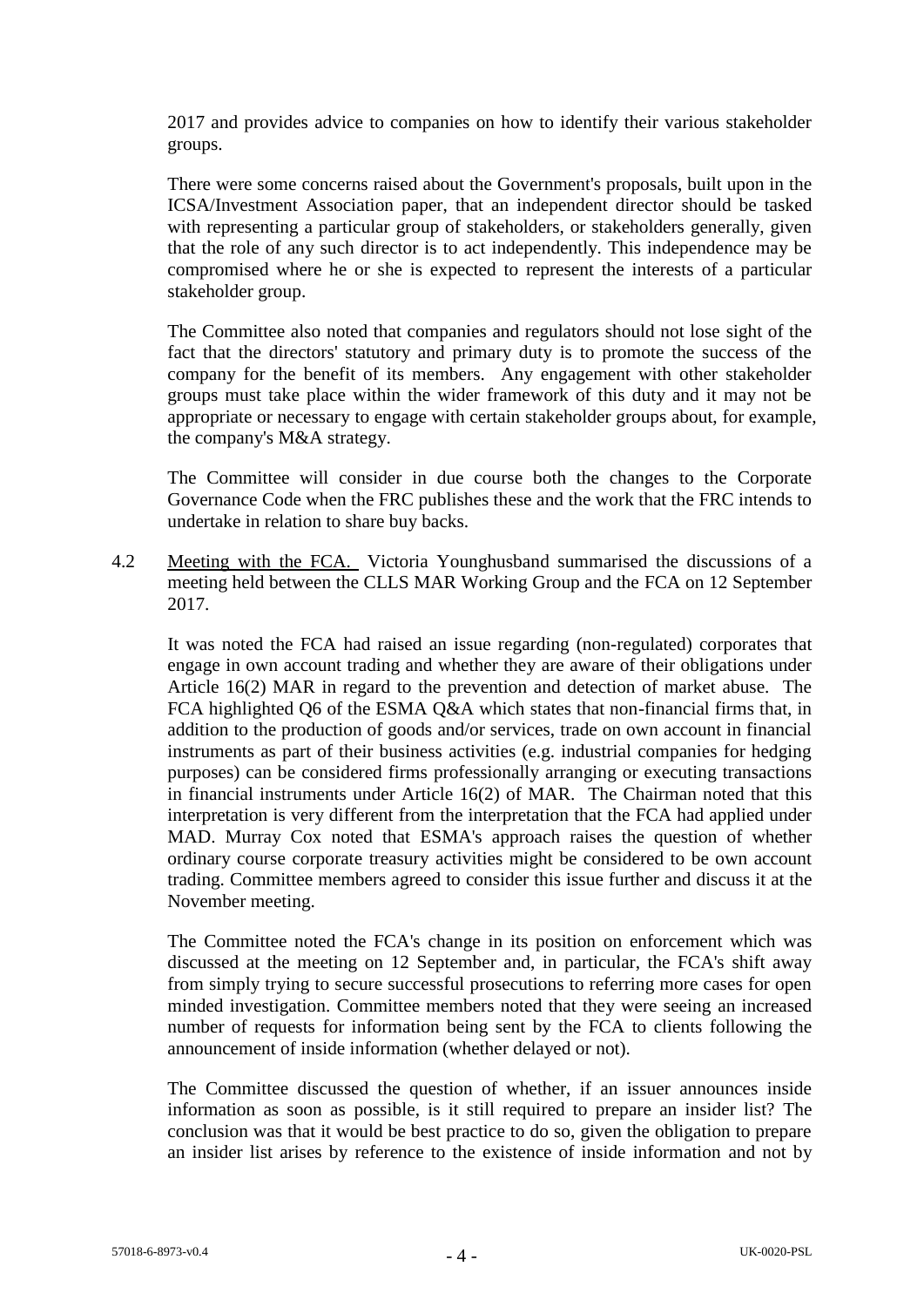2017 and provides advice to companies on how to identify their various stakeholder groups.

There were some concerns raised about the Government's proposals, built upon in the ICSA/Investment Association paper, that an independent director should be tasked with representing a particular group of stakeholders, or stakeholders generally, given that the role of any such director is to act independently. This independence may be compromised where he or she is expected to represent the interests of a particular stakeholder group.

The Committee also noted that companies and regulators should not lose sight of the fact that the directors' statutory and primary duty is to promote the success of the company for the benefit of its members. Any engagement with other stakeholder groups must take place within the wider framework of this duty and it may not be appropriate or necessary to engage with certain stakeholder groups about, for example, the company's M&A strategy.

The Committee will consider in due course both the changes to the Corporate Governance Code when the FRC publishes these and the work that the FRC intends to undertake in relation to share buy backs.

4.2 Meeting with the FCA. Victoria Younghusband summarised the discussions of a meeting held between the CLLS MAR Working Group and the FCA on 12 September 2017.

It was noted the FCA had raised an issue regarding (non-regulated) corporates that engage in own account trading and whether they are aware of their obligations under Article 16(2) MAR in regard to the prevention and detection of market abuse. The FCA highlighted Q6 of the ESMA Q&A which states that non-financial firms that, in addition to the production of goods and/or services, trade on own account in financial instruments as part of their business activities (e.g. industrial companies for hedging purposes) can be considered firms professionally arranging or executing transactions in financial instruments under Article 16(2) of MAR. The Chairman noted that this interpretation is very different from the interpretation that the FCA had applied under MAD. Murray Cox noted that ESMA's approach raises the question of whether ordinary course corporate treasury activities might be considered to be own account trading. Committee members agreed to consider this issue further and discuss it at the November meeting.

The Committee noted the FCA's change in its position on enforcement which was discussed at the meeting on 12 September and, in particular, the FCA's shift away from simply trying to secure successful prosecutions to referring more cases for open minded investigation. Committee members noted that they were seeing an increased number of requests for information being sent by the FCA to clients following the announcement of inside information (whether delayed or not).

The Committee discussed the question of whether, if an issuer announces inside information as soon as possible, is it still required to prepare an insider list? The conclusion was that it would be best practice to do so, given the obligation to prepare an insider list arises by reference to the existence of inside information and not by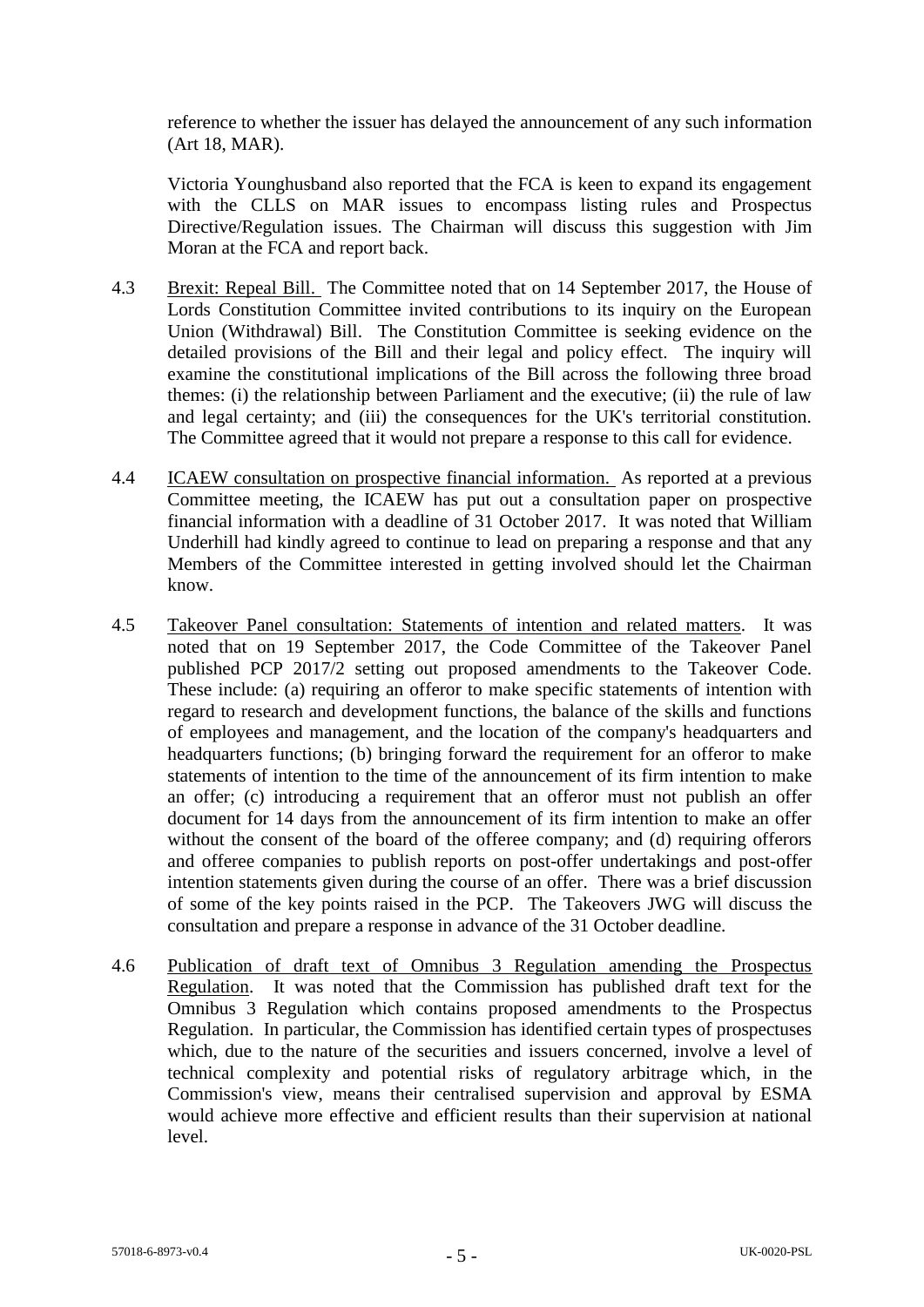reference to whether the issuer has delayed the announcement of any such information (Art 18, MAR).

Victoria Younghusband also reported that the FCA is keen to expand its engagement with the CLLS on MAR issues to encompass listing rules and Prospectus Directive/Regulation issues. The Chairman will discuss this suggestion with Jim Moran at the FCA and report back.

- 4.3 Brexit: Repeal Bill. The Committee noted that on 14 September 2017, the House of Lords Constitution Committee invited contributions to its inquiry on the European Union (Withdrawal) Bill. The Constitution Committee is seeking evidence on the detailed provisions of the Bill and their legal and policy effect. The inquiry will examine the constitutional implications of the Bill across the following three broad themes: (i) the relationship between Parliament and the executive; (ii) the rule of law and legal certainty; and (iii) the consequences for the UK's territorial constitution. The Committee agreed that it would not prepare a response to this call for evidence.
- 4.4 ICAEW consultation on prospective financial information. As reported at a previous Committee meeting, the ICAEW has put out a consultation paper on prospective financial information with a deadline of 31 October 2017. It was noted that William Underhill had kindly agreed to continue to lead on preparing a response and that any Members of the Committee interested in getting involved should let the Chairman know.
- 4.5 Takeover Panel consultation: Statements of intention and related matters. It was noted that on 19 September 2017, the Code Committee of the Takeover Panel published PCP 2017/2 setting out proposed amendments to the Takeover Code. These include: (a) requiring an offeror to make specific statements of intention with regard to research and development functions, the balance of the skills and functions of employees and management, and the location of the company's headquarters and headquarters functions; (b) bringing forward the requirement for an offeror to make statements of intention to the time of the announcement of its firm intention to make an offer; (c) introducing a requirement that an offeror must not publish an offer document for 14 days from the announcement of its firm intention to make an offer without the consent of the board of the offeree company; and (d) requiring offerors and offeree companies to publish reports on post-offer undertakings and post-offer intention statements given during the course of an offer. There was a brief discussion of some of the key points raised in the PCP. The Takeovers JWG will discuss the consultation and prepare a response in advance of the 31 October deadline.
- 4.6 Publication of draft text of Omnibus 3 Regulation amending the Prospectus Regulation. It was noted that the Commission has published draft text for the Omnibus 3 Regulation which contains proposed amendments to the Prospectus Regulation. In particular, the Commission has identified certain types of prospectuses which, due to the nature of the securities and issuers concerned, involve a level of technical complexity and potential risks of regulatory arbitrage which, in the Commission's view, means their centralised supervision and approval by ESMA would achieve more effective and efficient results than their supervision at national level.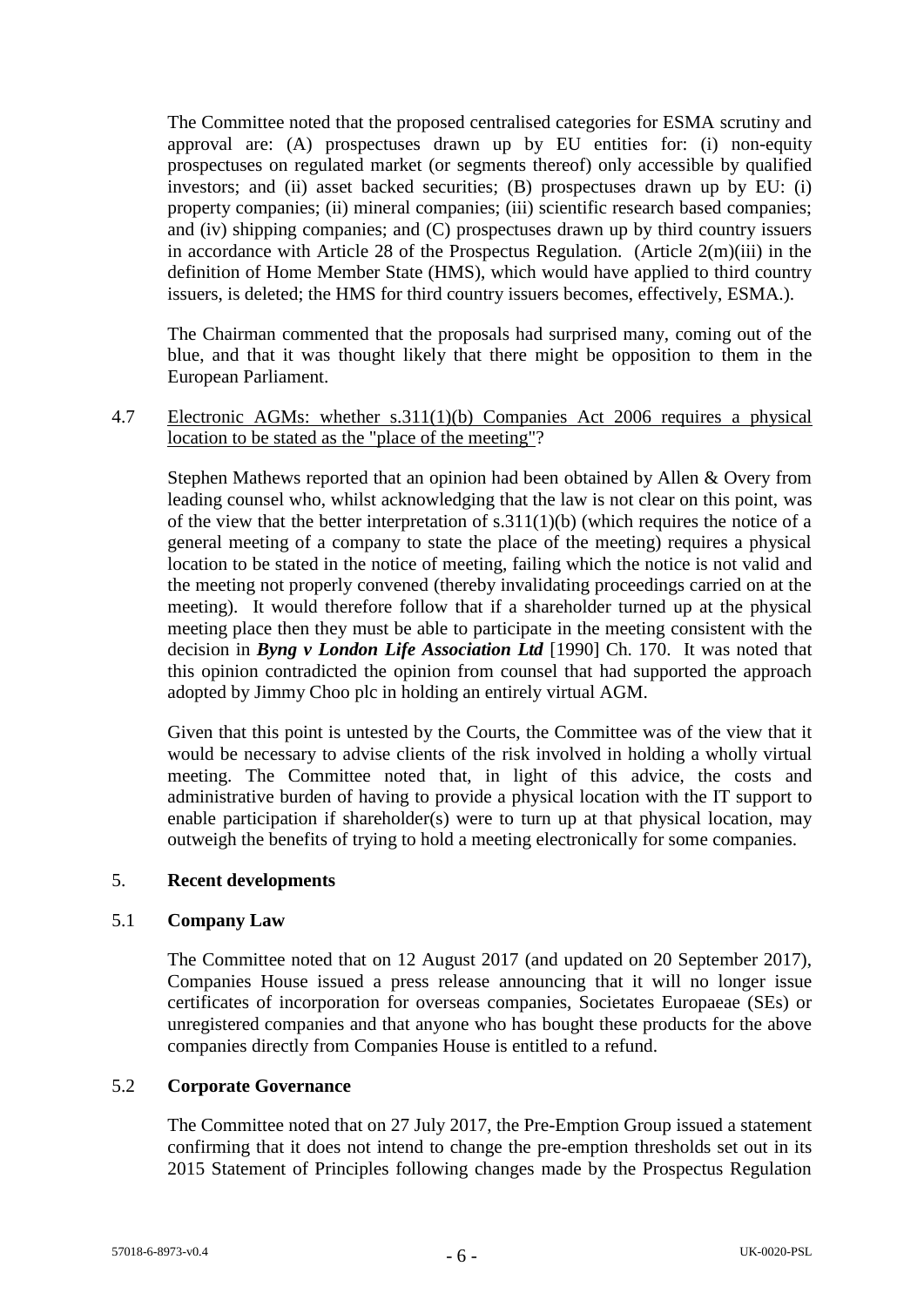The Committee noted that the proposed centralised categories for ESMA scrutiny and approval are: (A) prospectuses drawn up by EU entities for: (i) non-equity prospectuses on regulated market (or segments thereof) only accessible by qualified investors; and (ii) asset backed securities; (B) prospectuses drawn up by EU: (i) property companies; (ii) mineral companies; (iii) scientific research based companies; and (iv) shipping companies; and (C) prospectuses drawn up by third country issuers in accordance with Article 28 of the Prospectus Regulation. (Article 2(m)(iii) in the definition of Home Member State (HMS), which would have applied to third country issuers, is deleted; the HMS for third country issuers becomes, effectively, ESMA.).

The Chairman commented that the proposals had surprised many, coming out of the blue, and that it was thought likely that there might be opposition to them in the European Parliament.

4.7 Electronic AGMs: whether s.311(1)(b) Companies Act 2006 requires a physical location to be stated as the "place of the meeting"?

Stephen Mathews reported that an opinion had been obtained by Allen & Overy from leading counsel who, whilst acknowledging that the law is not clear on this point, was of the view that the better interpretation of s.311(1)(b) (which requires the notice of a general meeting of a company to state the place of the meeting) requires a physical location to be stated in the notice of meeting, failing which the notice is not valid and the meeting not properly convened (thereby invalidating proceedings carried on at the meeting). It would therefore follow that if a shareholder turned up at the physical meeting place then they must be able to participate in the meeting consistent with the decision in *Byng v London Life Association Ltd* [1990] Ch. 170. It was noted that this opinion contradicted the opinion from counsel that had supported the approach adopted by Jimmy Choo plc in holding an entirely virtual AGM.

Given that this point is untested by the Courts, the Committee was of the view that it would be necessary to advise clients of the risk involved in holding a wholly virtual meeting. The Committee noted that, in light of this advice, the costs and administrative burden of having to provide a physical location with the IT support to enable participation if shareholder(s) were to turn up at that physical location, may outweigh the benefits of trying to hold a meeting electronically for some companies.

## 5. **Recent developments**

## 5.1 **Company Law**

The Committee noted that on 12 August 2017 (and updated on 20 September 2017), Companies House issued a press release announcing that it will no longer issue certificates of incorporation for overseas companies, Societates Europaeae (SEs) or unregistered companies and that anyone who has bought these products for the above companies directly from Companies House is entitled to a refund.

## 5.2 **Corporate Governance**

The Committee noted that on 27 July 2017, the Pre-Emption Group issued a statement confirming that it does not intend to change the pre-emption thresholds set out in its 2015 Statement of Principles following changes made by the Prospectus Regulation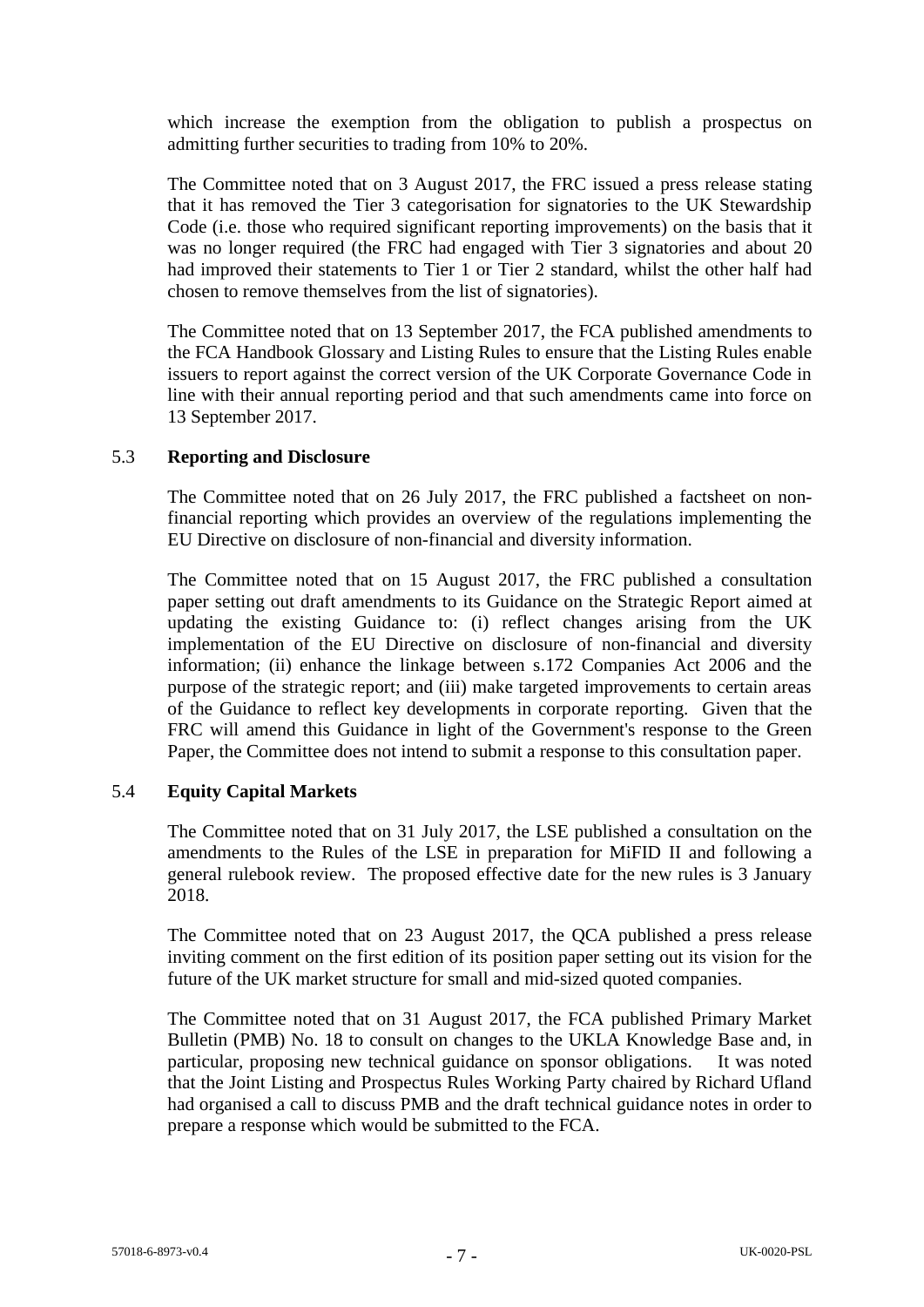which increase the exemption from the obligation to publish a prospectus on admitting further securities to trading from 10% to 20%.

The Committee noted that on 3 August 2017, the FRC issued a press release stating that it has removed the Tier 3 categorisation for signatories to the UK Stewardship Code (i.e. those who required significant reporting improvements) on the basis that it was no longer required (the FRC had engaged with Tier 3 signatories and about 20 had improved their statements to Tier 1 or Tier 2 standard, whilst the other half had chosen to remove themselves from the list of signatories).

The Committee noted that on 13 September 2017, the FCA published amendments to the FCA Handbook Glossary and Listing Rules to ensure that the Listing Rules enable issuers to report against the correct version of the UK Corporate Governance Code in line with their annual reporting period and that such amendments came into force on 13 September 2017.

## 5.3 **Reporting and Disclosure**

The Committee noted that on 26 July 2017, the FRC published a factsheet on nonfinancial reporting which provides an overview of the regulations implementing the EU Directive on disclosure of non-financial and diversity information.

The Committee noted that on 15 August 2017, the FRC published a consultation paper setting out draft amendments to its Guidance on the Strategic Report aimed at updating the existing Guidance to: (i) reflect changes arising from the UK implementation of the EU Directive on disclosure of non-financial and diversity information; (ii) enhance the linkage between s.172 Companies Act 2006 and the purpose of the strategic report; and (iii) make targeted improvements to certain areas of the Guidance to reflect key developments in corporate reporting. Given that the FRC will amend this Guidance in light of the Government's response to the Green Paper, the Committee does not intend to submit a response to this consultation paper.

## 5.4 **Equity Capital Markets**

The Committee noted that on 31 July 2017, the LSE published a consultation on the amendments to the Rules of the LSE in preparation for MiFID II and following a general rulebook review. The proposed effective date for the new rules is 3 January 2018.

The Committee noted that on 23 August 2017, the QCA published a press release inviting comment on the first edition of its position paper setting out its vision for the future of the UK market structure for small and mid-sized quoted companies.

The Committee noted that on 31 August 2017, the FCA published Primary Market Bulletin (PMB) No. 18 to consult on changes to the UKLA Knowledge Base and, in particular, proposing new technical guidance on sponsor obligations. It was noted that the Joint Listing and Prospectus Rules Working Party chaired by Richard Ufland had organised a call to discuss PMB and the draft technical guidance notes in order to prepare a response which would be submitted to the FCA.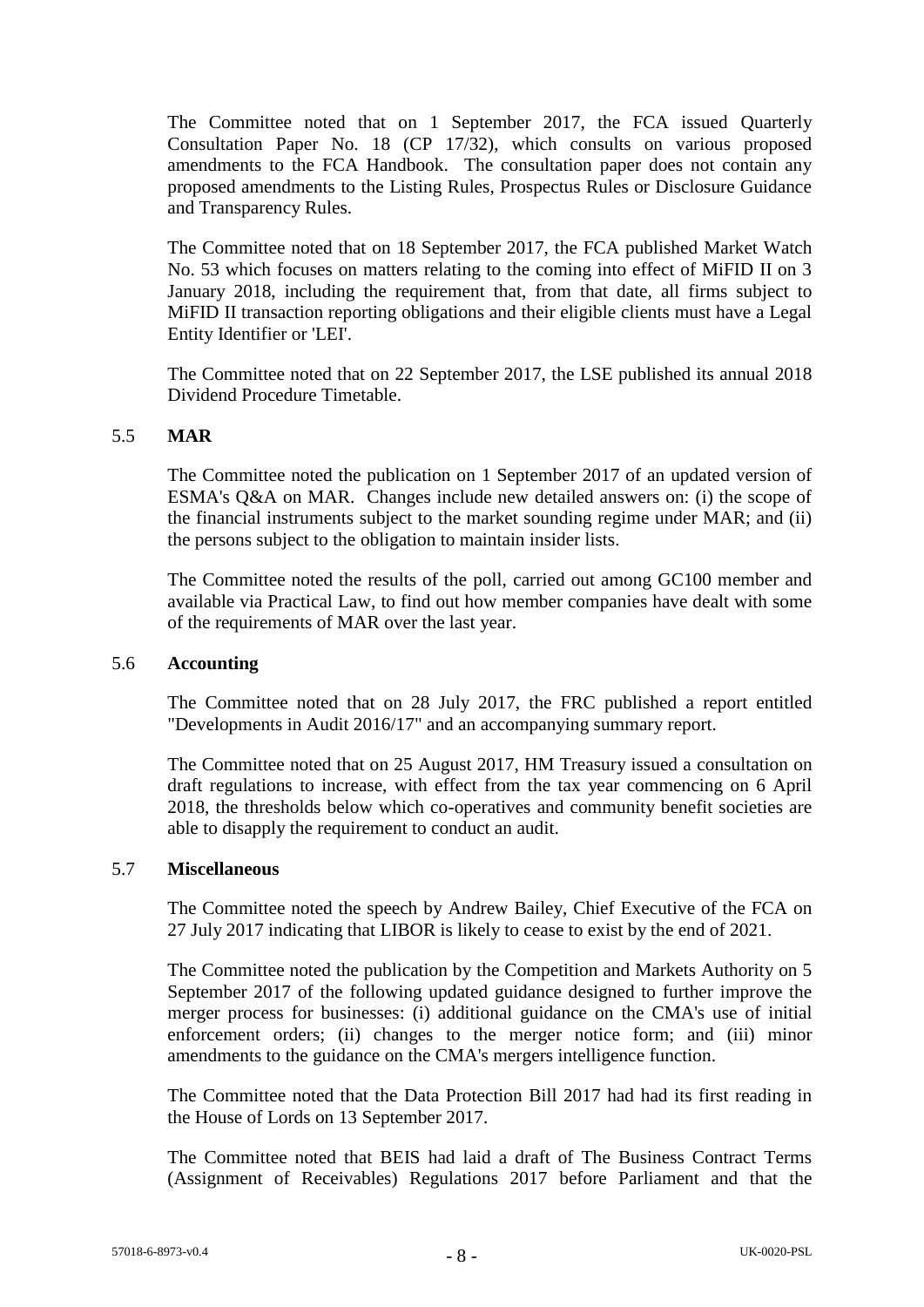The Committee noted that on 1 September 2017, the FCA issued Quarterly Consultation Paper No. 18 (CP 17/32), which consults on various proposed amendments to the FCA Handbook. The consultation paper does not contain any proposed amendments to the Listing Rules, Prospectus Rules or Disclosure Guidance and Transparency Rules.

The Committee noted that on 18 September 2017, the FCA published Market Watch No. 53 which focuses on matters relating to the coming into effect of MiFID II on 3 January 2018, including the requirement that, from that date, all firms subject to MiFID II transaction reporting obligations and their eligible clients must have a Legal Entity Identifier or 'LEI'.

The Committee noted that on 22 September 2017, the LSE published its annual 2018 Dividend Procedure Timetable.

## 5.5 **MAR**

The Committee noted the publication on 1 September 2017 of an updated version of ESMA's Q&A on MAR. Changes include new detailed answers on: (i) the scope of the financial instruments subject to the market sounding regime under MAR; and (ii) the persons subject to the obligation to maintain insider lists.

The Committee noted the results of the poll, carried out among GC100 member and available via Practical Law, to find out how member companies have dealt with some of the requirements of MAR over the last year.

#### 5.6 **Accounting**

The Committee noted that on 28 July 2017, the FRC published a report entitled "Developments in Audit 2016/17" and an accompanying summary report.

The Committee noted that on 25 August 2017, HM Treasury issued a consultation on draft regulations to increase, with effect from the tax year commencing on 6 April 2018, the thresholds below which co-operatives and community benefit societies are able to disapply the requirement to conduct an audit.

#### 5.7 **Miscellaneous**

The Committee noted the speech by Andrew Bailey, Chief Executive of the FCA on 27 July 2017 indicating that LIBOR is likely to cease to exist by the end of 2021.

The Committee noted the publication by the Competition and Markets Authority on 5 September 2017 of the following updated guidance designed to further improve the merger process for businesses: (i) additional guidance on the CMA's use of initial enforcement orders; (ii) changes to the merger notice form; and (iii) minor amendments to the guidance on the CMA's mergers intelligence function.

The Committee noted that the Data Protection Bill 2017 had had its first reading in the House of Lords on 13 September 2017.

The Committee noted that BEIS had laid a draft of The Business Contract Terms (Assignment of Receivables) Regulations 2017 before Parliament and that the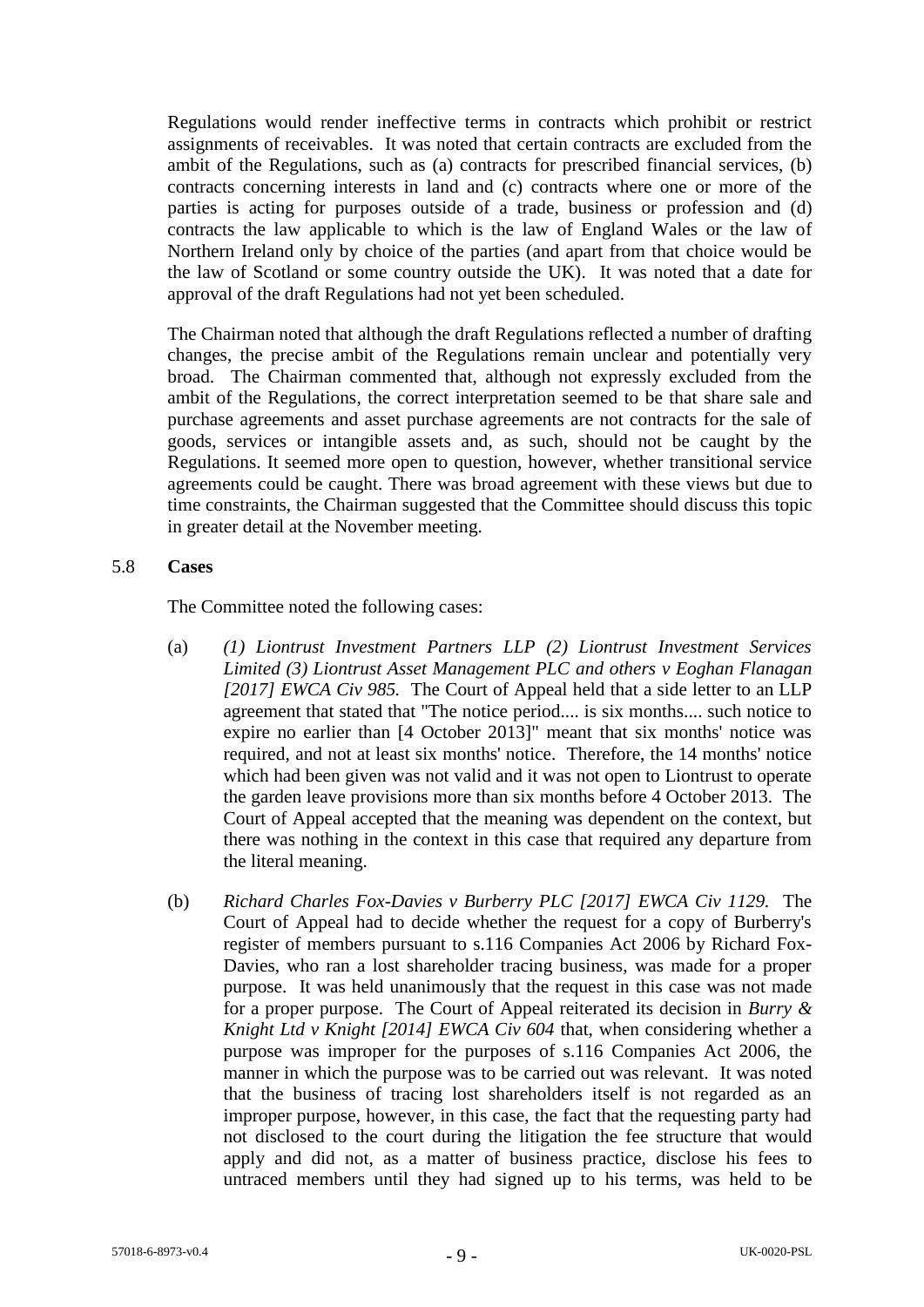Regulations would render ineffective terms in contracts which prohibit or restrict assignments of receivables. It was noted that certain contracts are excluded from the ambit of the Regulations, such as (a) contracts for prescribed financial services, (b) contracts concerning interests in land and (c) contracts where one or more of the parties is acting for purposes outside of a trade, business or profession and (d) contracts the law applicable to which is the law of England Wales or the law of Northern Ireland only by choice of the parties (and apart from that choice would be the law of Scotland or some country outside the UK). It was noted that a date for approval of the draft Regulations had not yet been scheduled.

The Chairman noted that although the draft Regulations reflected a number of drafting changes, the precise ambit of the Regulations remain unclear and potentially very broad. The Chairman commented that, although not expressly excluded from the ambit of the Regulations, the correct interpretation seemed to be that share sale and purchase agreements and asset purchase agreements are not contracts for the sale of goods, services or intangible assets and, as such, should not be caught by the Regulations. It seemed more open to question, however, whether transitional service agreements could be caught. There was broad agreement with these views but due to time constraints, the Chairman suggested that the Committee should discuss this topic in greater detail at the November meeting.

#### 5.8 **Cases**

The Committee noted the following cases:

- (a) *(1) Liontrust Investment Partners LLP (2) Liontrust Investment Services Limited (3) Liontrust Asset Management PLC and others v Eoghan Flanagan [2017] EWCA Civ 985.* The Court of Appeal held that a side letter to an LLP agreement that stated that "The notice period.... is six months.... such notice to expire no earlier than [4 October 2013]" meant that six months' notice was required, and not at least six months' notice. Therefore, the 14 months' notice which had been given was not valid and it was not open to Liontrust to operate the garden leave provisions more than six months before 4 October 2013. The Court of Appeal accepted that the meaning was dependent on the context, but there was nothing in the context in this case that required any departure from the literal meaning.
- (b) *Richard Charles Fox-Davies v Burberry PLC [2017] EWCA Civ 1129.* The Court of Appeal had to decide whether the request for a copy of Burberry's register of members pursuant to s.116 Companies Act 2006 by Richard Fox-Davies, who ran a lost shareholder tracing business, was made for a proper purpose. It was held unanimously that the request in this case was not made for a proper purpose. The Court of Appeal reiterated its decision in *Burry & Knight Ltd v Knight [2014] EWCA Civ 604* that, when considering whether a purpose was improper for the purposes of s.116 Companies Act 2006, the manner in which the purpose was to be carried out was relevant. It was noted that the business of tracing lost shareholders itself is not regarded as an improper purpose, however, in this case, the fact that the requesting party had not disclosed to the court during the litigation the fee structure that would apply and did not, as a matter of business practice, disclose his fees to untraced members until they had signed up to his terms, was held to be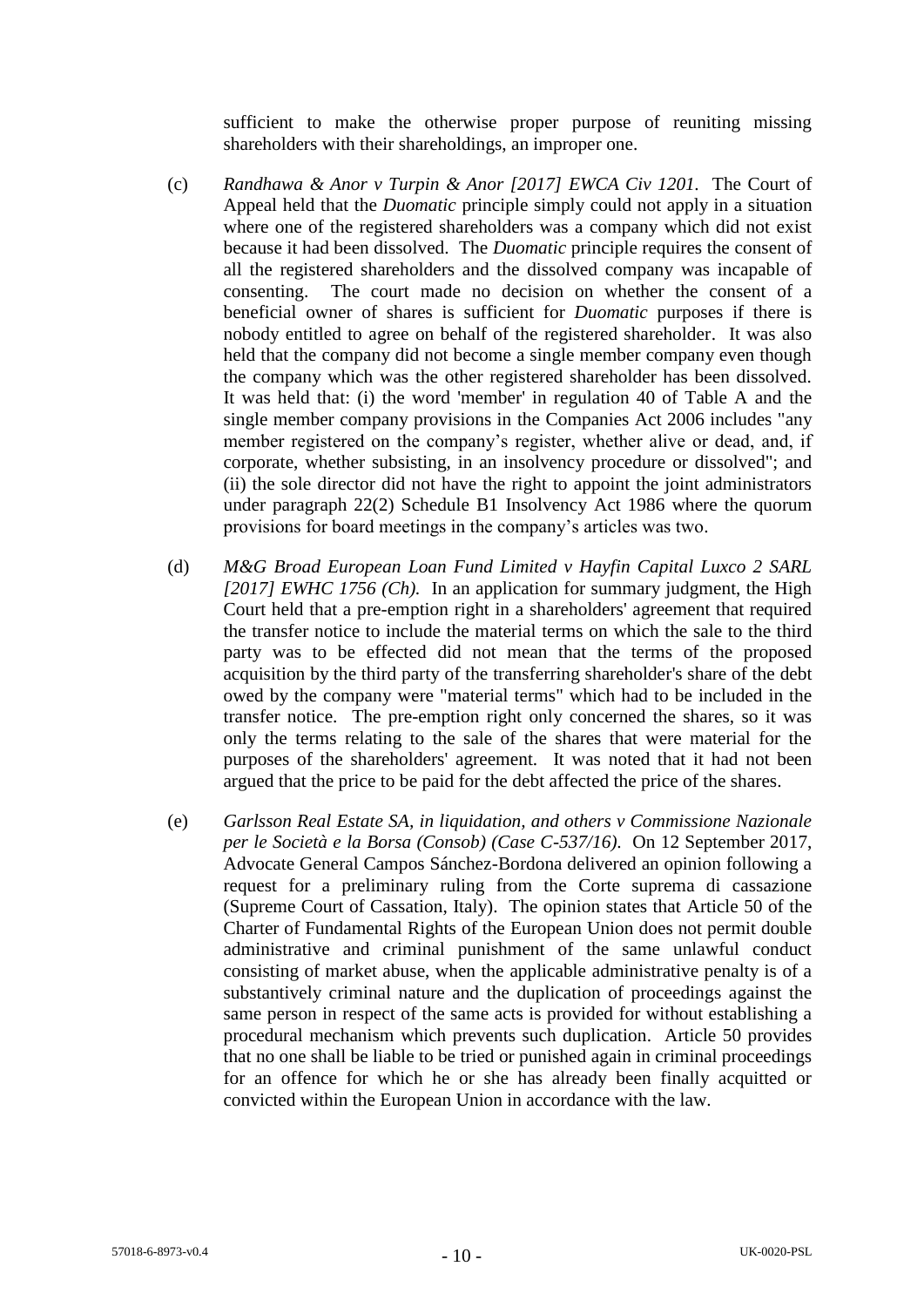sufficient to make the otherwise proper purpose of reuniting missing shareholders with their shareholdings, an improper one.

- (c) *Randhawa & Anor v Turpin & Anor [2017] EWCA Civ 1201.* The Court of Appeal held that the *Duomatic* principle simply could not apply in a situation where one of the registered shareholders was a company which did not exist because it had been dissolved. The *Duomatic* principle requires the consent of all the registered shareholders and the dissolved company was incapable of consenting. The court made no decision on whether the consent of a beneficial owner of shares is sufficient for *Duomatic* purposes if there is nobody entitled to agree on behalf of the registered shareholder. It was also held that the company did not become a single member company even though the company which was the other registered shareholder has been dissolved. It was held that: (i) the word 'member' in regulation 40 of Table A and the single member company provisions in the Companies Act 2006 includes "any member registered on the company's register, whether alive or dead, and, if corporate, whether subsisting, in an insolvency procedure or dissolved"; and (ii) the sole director did not have the right to appoint the joint administrators under paragraph 22(2) Schedule B1 Insolvency Act 1986 where the quorum provisions for board meetings in the company's articles was two.
- (d) *M&G Broad European Loan Fund Limited v Hayfin Capital Luxco 2 SARL [2017] EWHC 1756 (Ch).* In an application for summary judgment, the High Court held that a pre-emption right in a shareholders' agreement that required the transfer notice to include the material terms on which the sale to the third party was to be effected did not mean that the terms of the proposed acquisition by the third party of the transferring shareholder's share of the debt owed by the company were "material terms" which had to be included in the transfer notice. The pre-emption right only concerned the shares, so it was only the terms relating to the sale of the shares that were material for the purposes of the shareholders' agreement. It was noted that it had not been argued that the price to be paid for the debt affected the price of the shares.
- (e) *Garlsson Real Estate SA, in liquidation, and others v Commissione Nazionale per le Società e la Borsa (Consob) (Case C-537/16)*. On 12 September 2017, Advocate General Campos Sánchez-Bordona delivered an opinion following a request for a preliminary ruling from the Corte suprema di cassazione (Supreme Court of Cassation, Italy). The opinion states that Article 50 of the Charter of Fundamental Rights of the European Union does not permit double administrative and criminal punishment of the same unlawful conduct consisting of market abuse, when the applicable administrative penalty is of a substantively criminal nature and the duplication of proceedings against the same person in respect of the same acts is provided for without establishing a procedural mechanism which prevents such duplication. Article 50 provides that no one shall be liable to be tried or punished again in criminal proceedings for an offence for which he or she has already been finally acquitted or convicted within the European Union in accordance with the law.